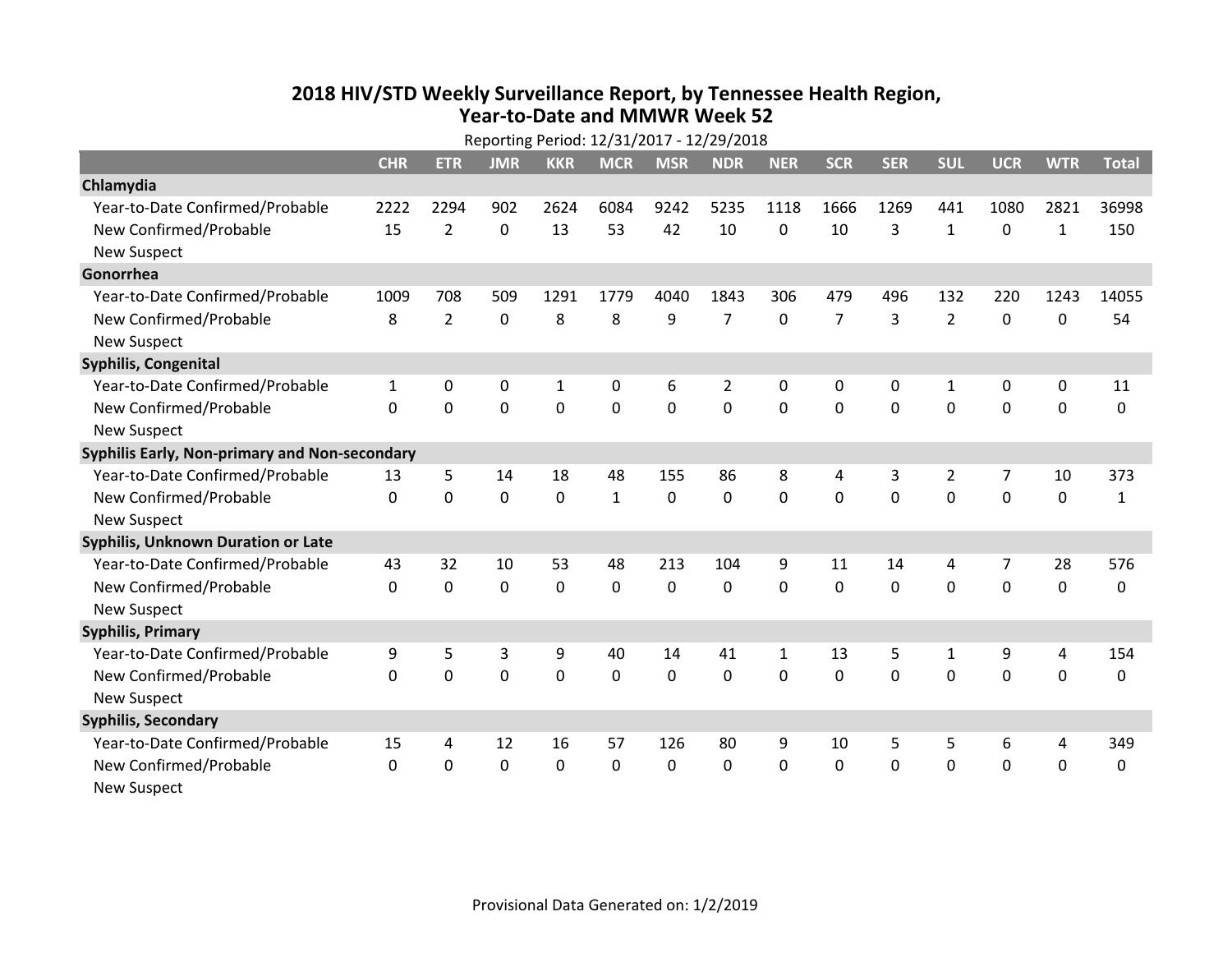## **2018 HIV /STD Weekly Surveillance Report, by Tennessee Health Region, Year‐to‐Date and MMWR Week 52**

|                                               | Reporting Period: 12/31/2017 - 12/29/2018 |                |             |              |              |             |                |              |                |                |                |             |              |              |
|-----------------------------------------------|-------------------------------------------|----------------|-------------|--------------|--------------|-------------|----------------|--------------|----------------|----------------|----------------|-------------|--------------|--------------|
|                                               | <b>CHR</b>                                | <b>ETR</b>     | <b>JMR</b>  | <b>KKR</b>   | <b>MCR</b>   | <b>MSR</b>  | <b>NDR</b>     | <b>NER</b>   | <b>SCR</b>     | <b>SER</b>     | <b>SUL</b>     | <b>UCR</b>  | <b>WTR</b>   | <b>Total</b> |
| Chlamydia                                     |                                           |                |             |              |              |             |                |              |                |                |                |             |              |              |
| Year-to-Date Confirmed/Probable               | 2222                                      | 2294           | 902         | 2624         | 6084         | 9242        | 5235           | 1118         | 1666           | 1269           | 441            | 1080        | 2821         | 36998        |
| New Confirmed/Probable                        | 15                                        | 2              | $\mathbf 0$ | 13           | 53           | 42          | 10             | $\Omega$     | 10             | 3              | $\mathbf{1}$   | $\mathbf 0$ | $\mathbf{1}$ | 150          |
| <b>New Suspect</b>                            |                                           |                |             |              |              |             |                |              |                |                |                |             |              |              |
| Gonorrhea                                     |                                           |                |             |              |              |             |                |              |                |                |                |             |              |              |
| Year-to-Date Confirmed/Probable               | 1009                                      | 708            | 509         | 1291         | 1779         | 4040        | 1843           | 306          | 479            | 496            | 132            | 220         | 1243         | 14055        |
| New Confirmed/Probable                        | 8                                         | $\overline{2}$ | $\mathbf 0$ | 8            | 8            | 9           | $\overline{7}$ | 0            | $\overline{7}$ | $\overline{3}$ | $\overline{2}$ | $\mathbf 0$ | 0            | 54           |
| <b>New Suspect</b>                            |                                           |                |             |              |              |             |                |              |                |                |                |             |              |              |
| Syphilis, Congenital                          |                                           |                |             |              |              |             |                |              |                |                |                |             |              |              |
| Year-to-Date Confirmed/Probable               | 1                                         | 0              | 0           | 1            | 0            | 6           | 2              | 0            | 0              | 0              | 1              | 0           | 0            | 11           |
| New Confirmed/Probable                        | $\mathbf 0$                               | $\mathbf 0$    | $\mathbf 0$ | $\mathbf 0$  | $\mathbf 0$  | 0           | 0              | $\Omega$     | $\Omega$       | $\Omega$       | 0              | $\mathbf 0$ | $\mathbf 0$  | $\mathbf 0$  |
| <b>New Suspect</b>                            |                                           |                |             |              |              |             |                |              |                |                |                |             |              |              |
| Syphilis Early, Non-primary and Non-secondary |                                           |                |             |              |              |             |                |              |                |                |                |             |              |              |
| Year-to-Date Confirmed/Probable               | 13                                        | 5              | 14          | 18           | 48           | 155         | 86             | 8            | 4              | 3              | $\overline{2}$ | 7           | 10           | 373          |
| New Confirmed/Probable                        | $\Omega$                                  | 0              | $\mathbf 0$ | $\mathbf 0$  | $\mathbf{1}$ | $\mathbf 0$ | 0              | 0            | $\Omega$       | $\mathbf 0$    | 0              | $\mathbf 0$ | 0            | $\mathbf{1}$ |
| <b>New Suspect</b>                            |                                           |                |             |              |              |             |                |              |                |                |                |             |              |              |
| Syphilis, Unknown Duration or Late            |                                           |                |             |              |              |             |                |              |                |                |                |             |              |              |
| Year-to-Date Confirmed/Probable               | 43                                        | 32             | 10          | 53           | 48           | 213         | 104            | 9            | 11             | 14             | 4              | 7           | 28           | 576          |
| New Confirmed/Probable                        | $\Omega$                                  | 0              | $\mathbf 0$ | 0            | 0            | $\mathbf 0$ | 0              | $\Omega$     | $\Omega$       | $\Omega$       | $\Omega$       | $\mathbf 0$ | 0            | $\mathbf 0$  |
| <b>New Suspect</b>                            |                                           |                |             |              |              |             |                |              |                |                |                |             |              |              |
| <b>Syphilis, Primary</b>                      |                                           |                |             |              |              |             |                |              |                |                |                |             |              |              |
| Year-to-Date Confirmed/Probable               | 9                                         | 5              | 3           | 9            | 40           | 14          | 41             | $\mathbf{1}$ | 13             | 5              | 1              | 9           | 4            | 154          |
| New Confirmed/Probable                        | $\Omega$                                  | 0              | 0           | $\mathbf 0$  | $\mathbf{0}$ | 0           | 0              | $\Omega$     | $\Omega$       | $\Omega$       | $\Omega$       | $\mathbf 0$ | $\mathbf 0$  | 0            |
| <b>New Suspect</b>                            |                                           |                |             |              |              |             |                |              |                |                |                |             |              |              |
| <b>Syphilis, Secondary</b>                    |                                           |                |             |              |              |             |                |              |                |                |                |             |              |              |
| Year-to-Date Confirmed/Probable               | 15                                        | 4              | 12          | 16           | 57           | 126         | 80             | 9            | 10             | 5              | 5              | 6           | 4            | 349          |
| New Confirmed/Probable                        | $\Omega$                                  | $\Omega$       | $\Omega$    | $\mathbf{0}$ | $\mathbf{0}$ | 0           | 0              | $\Omega$     | $\mathbf{0}$   | $\Omega$       | 0              | $\mathbf 0$ | 0            | 0            |
| <b>New Suspect</b>                            |                                           |                |             |              |              |             |                |              |                |                |                |             |              |              |